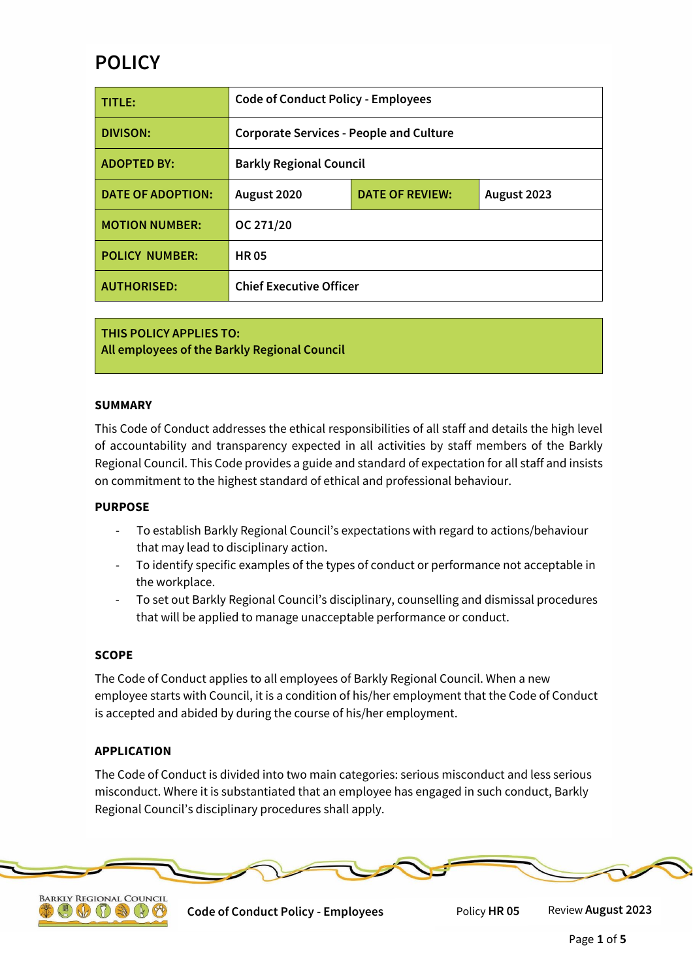# **POLICY**

| TITLE:                   | <b>Code of Conduct Policy - Employees</b>      |                        |             |
|--------------------------|------------------------------------------------|------------------------|-------------|
| <b>DIVISON:</b>          | <b>Corporate Services - People and Culture</b> |                        |             |
| <b>ADOPTED BY:</b>       | <b>Barkly Regional Council</b>                 |                        |             |
| <b>DATE OF ADOPTION:</b> | August 2020                                    | <b>DATE OF REVIEW:</b> | August 2023 |
| <b>MOTION NUMBER:</b>    | OC 271/20                                      |                        |             |
| <b>POLICY NUMBER:</b>    | <b>HR05</b>                                    |                        |             |
| <b>AUTHORISED:</b>       | <b>Chief Executive Officer</b>                 |                        |             |

**THIS POLICY APPLIES TO: All employees of the Barkly Regional Council**

## **SUMMARY**

This Code of Conduct addresses the ethical responsibilities of all staff and details the high level of accountability and transparency expected in all activities by staff members of the Barkly Regional Council. This Code provides a guide and standard of expectation for all staff and insists on commitment to the highest standard of ethical and professional behaviour.

## **PURPOSE**

- To establish Barkly Regional Council's expectations with regard to actions/behaviour that may lead to disciplinary action.
- To identify specific examples of the types of conduct or performance not acceptable in the workplace.
- To set out Barkly Regional Council's disciplinary, counselling and dismissal procedures that will be applied to manage unacceptable performance or conduct.

## **SCOPE**

The Code of Conduct applies to all employees of Barkly Regional Council. When a new employee starts with Council, it is a condition of his/her employment that the Code of Conduct is accepted and abided by during the course of his/her employment.

## **APPLICATION**

The Code of Conduct is divided into two main categories: serious misconduct and less serious misconduct. Where it is substantiated that an employee has engaged in such conduct, Barkly Regional Council's disciplinary procedures shall apply.



**BARKLY REGIONAL COUNCIL**  $\mathbb{Z}(\mathbb{Q})$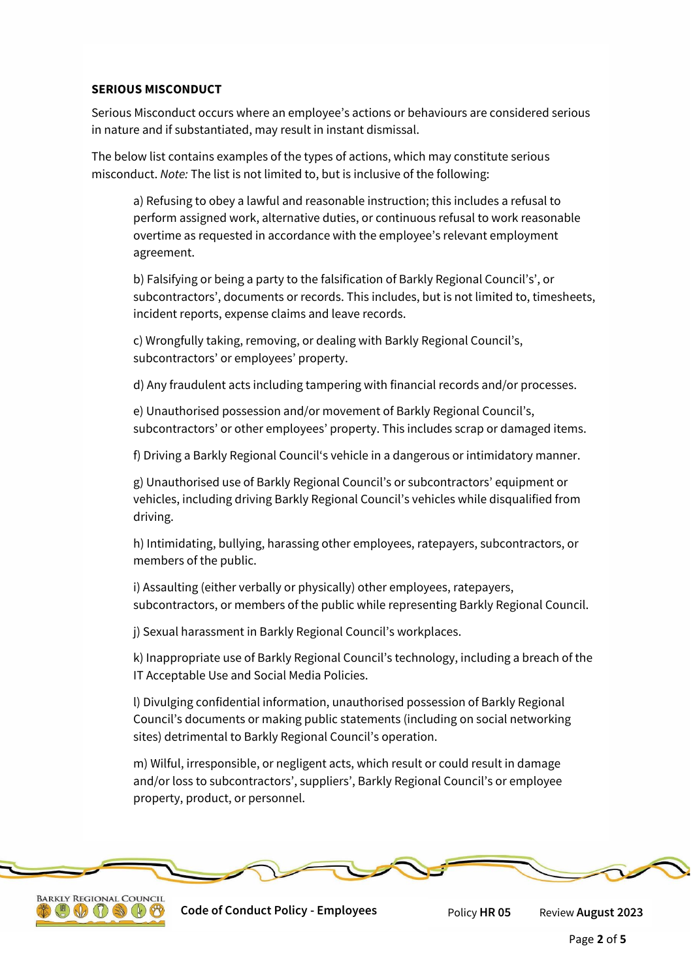# **SERIOUS MISCONDUCT**

Serious Misconduct occurs where an employee's actions or behaviours are considered serious in nature and if substantiated, may result in instant dismissal.

The below list contains examples of the types of actions, which may constitute serious misconduct. *Note:* The list is not limited to, but is inclusive of the following:

a) Refusing to obey a lawful and reasonable instruction; this includes a refusal to perform assigned work, alternative duties, or continuous refusal to work reasonable overtime as requested in accordance with the employee's relevant employment agreement.

b) Falsifying or being a party to the falsification of Barkly Regional Council's', or subcontractors', documents or records. This includes, but is not limited to, timesheets, incident reports, expense claims and leave records.

c) Wrongfully taking, removing, or dealing with Barkly Regional Council's, subcontractors' or employees' property.

d) Any fraudulent acts including tampering with financial records and/or processes.

e) Unauthorised possession and/or movement of Barkly Regional Council's, subcontractors' or other employees' property. This includes scrap or damaged items.

f) Driving a Barkly Regional Council's vehicle in a dangerous or intimidatory manner.

g) Unauthorised use of Barkly Regional Council's or subcontractors' equipment or vehicles, including driving Barkly Regional Council's vehicles while disqualified from driving.

h) Intimidating, bullying, harassing other employees, ratepayers, subcontractors, or members of the public.

i) Assaulting (either verbally or physically) other employees, ratepayers, subcontractors, or members of the public while representing Barkly Regional Council.

j) Sexual harassment in Barkly Regional Council's workplaces.

k) Inappropriate use of Barkly Regional Council's technology, including a breach of the IT Acceptable Use and Social Media Policies.

l) Divulging confidential information, unauthorised possession of Barkly Regional Council's documents or making public statements (including on social networking sites) detrimental to Barkly Regional Council's operation.

m) Wilful, irresponsible, or negligent acts, which result or could result in damage and/or loss to subcontractors', suppliers', Barkly Regional Council's or employee property, product, or personnel.



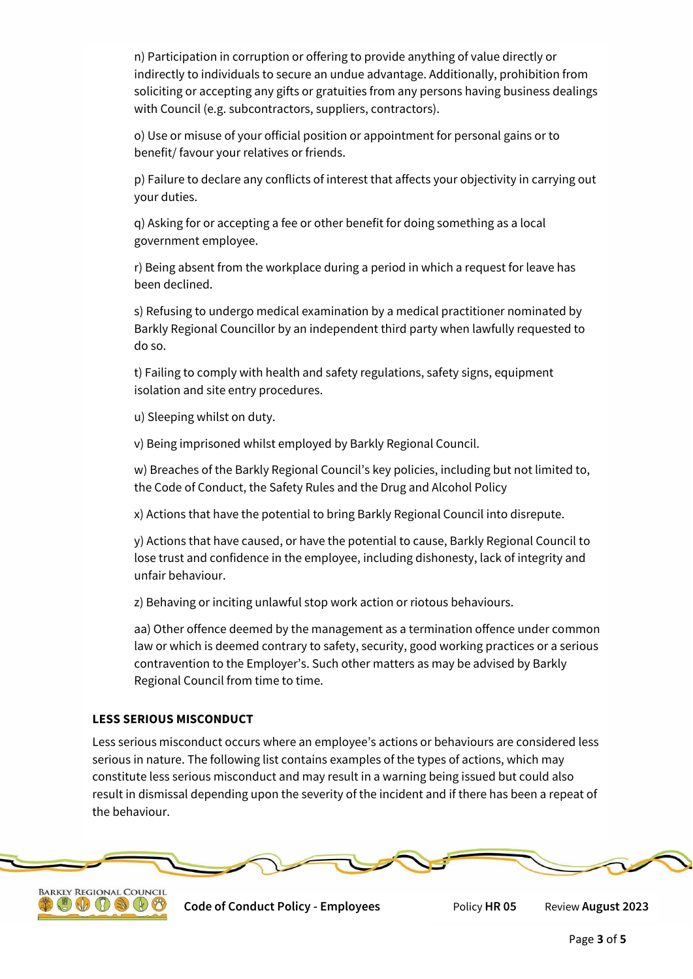n) Participation in corruption or offering to provide anything of value directly or indirectly to individuals to secure an undue advantage. Additionally, prohibition from soliciting or accepting any gifts or gratuities from any persons having business dealings with Council (e.g. subcontractors, suppliers, contractors).

o) Use or misuse of your official position or appointment for personal gains or to benefit/ favour your relatives or friends.

p) Failure to declare any conflicts of interest that affects your objectivity in carrying out your duties.

q) Asking for or accepting a fee or other benefit for doing something as a local government employee.

r) Being absent from the workplace during a period in which a request for leave has been declined.

s) Refusing to undergo medical examination by a medical practitioner nominated by Barkly Regional Councillor by an independent third party when lawfully requested to do so.

t) Failing to comply with health and safety regulations, safety signs, equipment isolation and site entry procedures.

u) Sleeping whilst on duty.

v) Being imprisoned whilst employed by Barkly Regional Council.

w) Breaches of the Barkly Regional Council's key policies, including but not limited to, the Code of Conduct, the Safety Rules and the Drug and Alcohol Policy

x) Actions that have the potential to bring Barkly Regional Council into disrepute.

y) Actions that have caused, or have the potential to cause, Barkly Regional Council to lose trust and confidence in the employee, including dishonesty, lack of integrity and unfair behaviour.

z) Behaving or inciting unlawful stop work action or riotous behaviours.

aa) Other offence deemed by the management as a termination offence under common law or which is deemed contrary to safety, security, good working practices or a serious contravention to the Employer's. Such other matters as may be advised by Barkly Regional Council from time to time.

# **LESS SERIOUS MISCONDUCT**

Less serious misconduct occurs where an employee's actions or behaviours are considered less serious in nature. The following list contains examples of the types of actions, which may constitute less serious misconduct and may result in a warning being issued but could also result in dismissal depending upon the severity of the incident and if there has been a repeat of the behaviour.



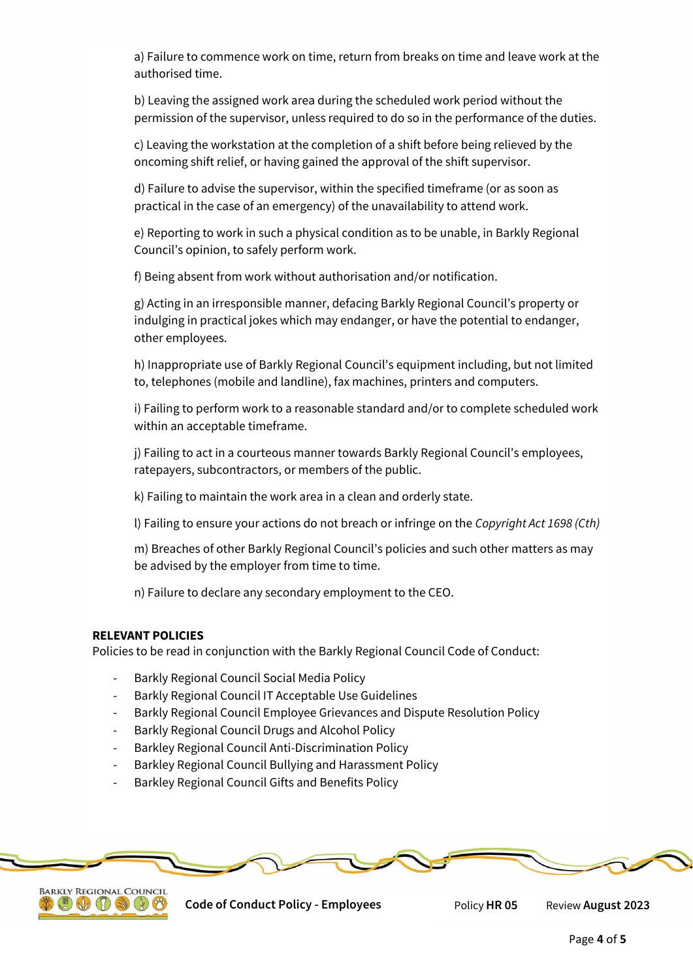a) Failure to commence work on time, return from breaks on time and leave work at the authorised time.

b) Leaving the assigned work area during the scheduled work period without the permission of the supervisor, unless required to do so in the performance of the duties.

c) Leaving the workstation at the completion of a shift before being relieved by the oncoming shift relief, or having gained the approval of the shift supervisor.

d) Failure to advise the supervisor, within the specified timeframe (or as soon as practical in the case of an emergency) of the unavailability to attend work.

e) Reporting to work in such a physical condition as to be unable, in Barkly Regional Council's opinion, to safely perform work.

f) Being absent from work without authorisation and/or notification.

g) Acting in an irresponsible manner, defacing Barkly Regional Council's property or indulging in practical jokes which may endanger, or have the potential to endanger, other employees.

h) Inappropriate use of Barkly Regional Council's equipment including, but not limited to, telephones (mobile and landline), fax machines, printers and computers.

i) Failing to perform work to a reasonable standard and/or to complete scheduled work within an acceptable timeframe.

j) Failing to act in a courteous manner towards Barkly Regional Council's employees, ratepayers, subcontractors, or members of the public.

k) Failing to maintain the work area in a clean and orderly state.

l) Failing to ensure your actions do not breach or infringe on the *Copyright Act 1698 (Cth)*

m) Breaches of other Barkly Regional Council's policies and such other matters as may be advised by the employer from time to time.

n) Failure to declare any secondary employment to the CEO.

## **RELEVANT POLICIES**

Policies to be read in conjunction with the Barkly Regional Council Code of Conduct:

- Barkly Regional Council Social Media Policy
- Barkly Regional Council IT Acceptable Use Guidelines
- Barkly Regional Council Employee Grievances and Dispute Resolution Policy
- Barkly Regional Council Drugs and Alcohol Policy
- Barkley Regional Council Anti-Discrimination Policy
- Barkley Regional Council Bullying and Harassment Policy
- Barkley Regional Council Gifts and Benefits Policy